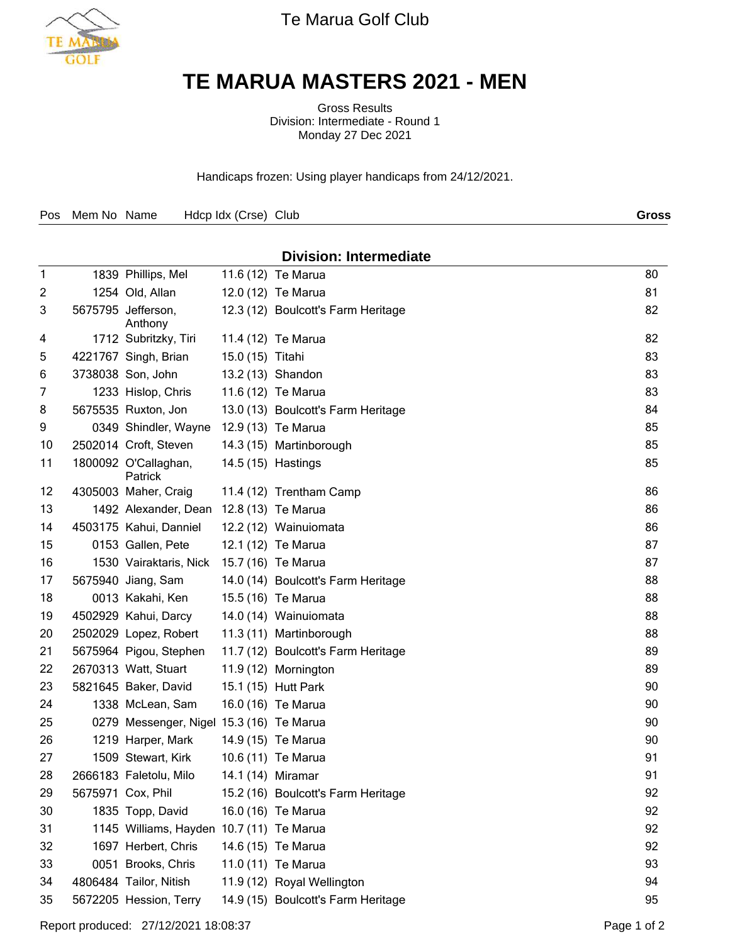

Te Marua Golf Club

## **TE MARUA MASTERS 2021 - MEN**

Gross Results Division: Intermediate - Round 1 Monday 27 Dec 2021

Handicaps frozen: Using player handicaps from 24/12/2021.

| Pos Mem No Name Hdcp Idx (Crse) Club | <b>Gross</b> |
|--------------------------------------|--------------|
|--------------------------------------|--------------|

## **Division: Intermediate** 1839 Phillips, Mel 11.6 (12) Te Marua 80 1254 Old, Allan 12.0 (12) Te Marua 81 3 5675795 Jefferson, Anthony 12.3 (12) Boulcott's Farm Heritage 82 1712 Subritzky, Tiri 11.4 (12) Te Marua 82 4221767 Singh, Brian 15.0 (15) Titahi 83 3738038 Son, John 13.2 (13) Shandon 83 1233 Hislop, Chris 11.6 (12) Te Marua 83 8 5675535 Ruxton, Jon 13.0 (13) Boulcott's Farm Heritage 84 9 0349 Shindler, Wayne 12.9 (13) Te Marua 85 2502014 Croft, Steven 14.3 (15) Martinborough 85 11 1800092 O'Callaghan, 14.5 (15) Hastings 85 (1998) 1990 1991 1991 1992 1994 1996 1997 1998 1999 19 Patrick 12 4305003 Maher, Craig 11.4 (12) Trentham Camp 86 1492 Alexander, Dean 12.8 (13) Te Marua 86 4503175 Kahui, Danniel 12.2 (12) Wainuiomata 86 15 0153 Gallen, Pete 12.1 (12) Te Marua 87 1530 Vairaktaris, Nick 15.7 (16) Te Marua 87 5675940 Jiang, Sam 14.0 (14) Boulcott's Farm Heritage 88 0013 Kakahi, Ken 15.5 (16) Te Marua 88 4502929 Kahui, Darcy 14.0 (14) Wainuiomata 88 2502029 Lopez, Robert 11.3 (11) Martinborough 88 5675964 Pigou, Stephen 11.7 (12) Boulcott's Farm Heritage 89 2670313 Watt, Stuart 11.9 (12) Mornington 89 5821645 Baker, David 15.1 (15) Hutt Park 90 1338 McLean, Sam 16.0 (16) Te Marua 90 0279 Messenger, Nigel 15.3 (16) Te Marua 90 1219 Harper, Mark 14.9 (15) Te Marua 90 1509 Stewart, Kirk 10.6 (11) Te Marua 91 2666183 Faletolu, Milo 14.1 (14) Miramar 91 5675971 Cox, Phil 15.2 (16) Boulcott's Farm Heritage 92 1835 Topp, David 16.0 (16) Te Marua 92 1145 Williams, Hayden 10.7 (11) Te Marua 92 1697 Herbert, Chris 14.6 (15) Te Marua 92 0051 Brooks, Chris 11.0 (11) Te Marua 93 4806484 Tailor, Nitish 11.9 (12) Royal Wellington 94 5672205 Hession, Terry 14.9 (15) Boulcott's Farm Heritage 95

Report produced: 27/12/2021 18:08:37 Page 1 of 2